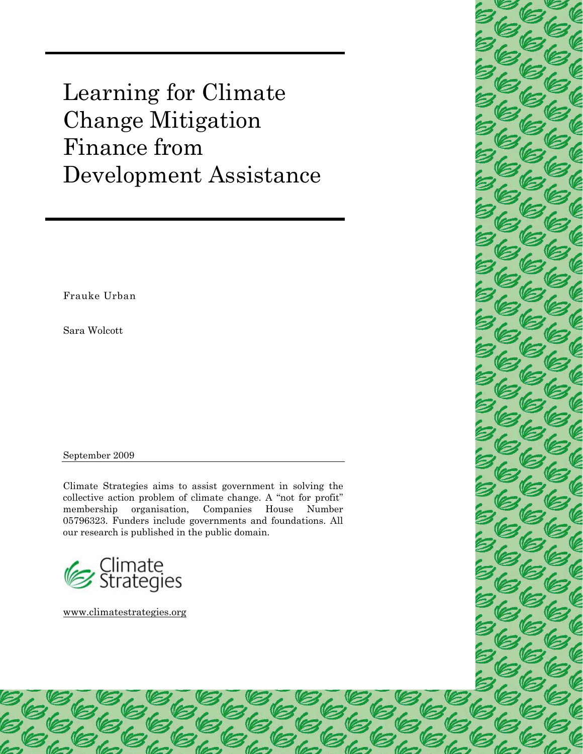Change Mitigation Learning for Climate Finance from Development Assistance

Frauke Urban

Sara Wolcott

September 2009

Climate Strategies aims to assist government in solving the collective action problem of climate change. A "not for profit" membership organisation, Companies House Number 05796323. Funders include governments and foundations. All our research is published in the public domain.

EEEE

EEEE<br>EEEE

EEE<br>EEE

EC

EEEE<br>EEEE

ECEE

└─ Climate<br>■ Strategies

[www.climatestrategies.org](http://www.climatestrategies.org/) 

**36** 

b

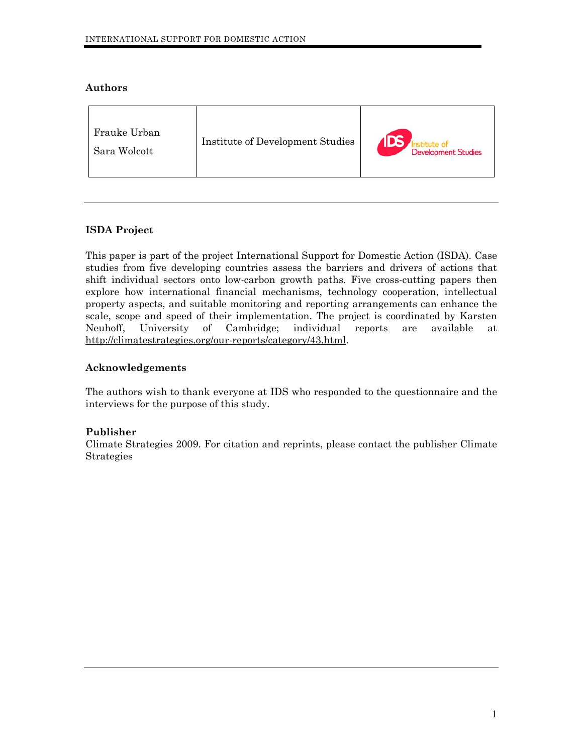## **Authors**

| Frauke Urban<br><b>Institute of Development Studies</b><br><b>Development Studies</b><br>Sara Wolcott |  |  |
|-------------------------------------------------------------------------------------------------------|--|--|
|-------------------------------------------------------------------------------------------------------|--|--|

# **ISDA Project**

This paper is part of the project International Support for Domestic Action (ISDA). Case studies from five developing countries assess the barriers and drivers of actions that shift individual sectors onto low-carbon growth paths. Five cross-cutting papers then explore how international financial mechanisms, technology cooperation, intellectual property aspects, and suitable monitoring and reporting arrangements can enhance the scale, scope and speed of their implementation. The project is coordinated by Karsten Neuhoff, University of Cambridge; individual reports are available at <http://climatestrategies.org/our-reports/category/43.html>.

## **Acknowledgements**

The authors wish to thank everyone at IDS who responded to the questionnaire and the interviews for the purpose of this study.

# **Publisher**

Climate Strategies 2009. For citation and reprints, please contact the publisher Climate Strategies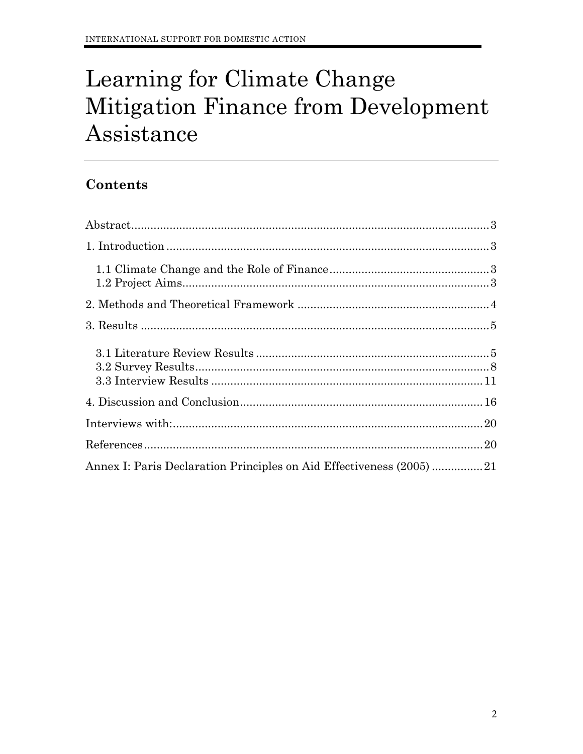# Learning for Climate Change Mitigation Finance from Development Assistance

# Contents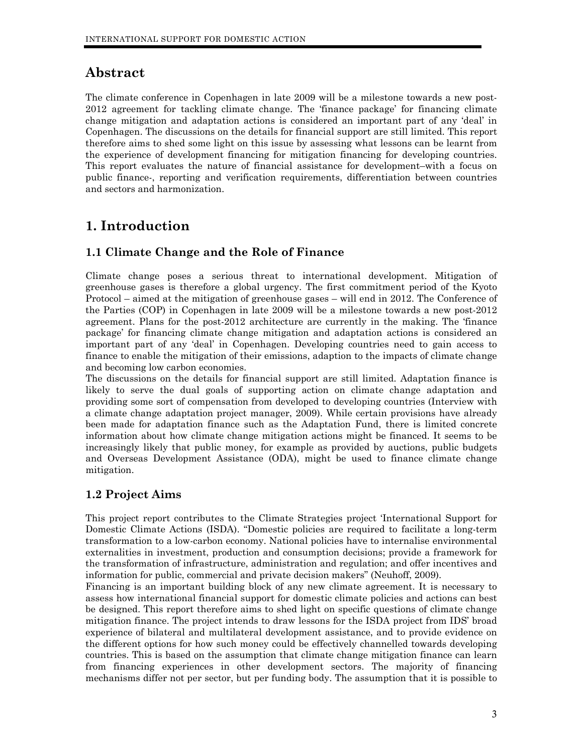# <span id="page-3-0"></span>**Abstract**

The climate conference in Copenhagen in late 2009 will be a milestone towards a new post-2012 agreement for tackling climate change. The 'finance package' for financing climate change mitigation and adaptation actions is considered an important part of any 'deal' in Copenhagen. The discussions on the details for financial support are still limited. This report therefore aims to shed some light on this issue by assessing what lessons can be learnt from the experience of development financing for mitigation financing for developing countries. This report evaluates the nature of financial assistance for development–with a focus on public finance-, reporting and verification requirements, differentiation between countries and sectors and harmonization.

# **1. Introduction**

# **1.1 Climate Change and the Role of Finance**

Climate change poses a serious threat to international development. Mitigation of greenhouse gases is therefore a global urgency. The first commitment period of the Kyoto Protocol – aimed at the mitigation of greenhouse gases – will end in 2012. The Conference of the Parties (COP) in Copenhagen in late 2009 will be a milestone towards a new post-2012 agreement. Plans for the post-2012 architecture are currently in the making. The 'finance package' for financing climate change mitigation and adaptation actions is considered an important part of any 'deal' in Copenhagen. Developing countries need to gain access to finance to enable the mitigation of their emissions, adaption to the impacts of climate change and becoming low carbon economies.

The discussions on the details for financial support are still limited. Adaptation finance is likely to serve the dual goals of supporting action on climate change adaptation and providing some sort of compensation from developed to developing countries (Interview with a climate change adaptation project manager, 2009). While certain provisions have already been made for adaptation finance such as the Adaptation Fund, there is limited concrete information about how climate change mitigation actions might be financed. It seems to be increasingly likely that public money, for example as provided by auctions, public budgets and Overseas Development Assistance (ODA), might be used to finance climate change mitigation.

# **1.2 Project Aims**

This project report contributes to the Climate Strategies project '[International Support for](http://www.eprg.group.cam.ac.uk/isdcp-2/)  [Domestic Climate Actions](http://www.eprg.group.cam.ac.uk/isdcp-2/) (ISDA). "Domestic policies are required to facilitate a long-term transformation to a low-carbon economy. National policies have to internalise environmental externalities in investment, production and consumption decisions; provide a framework for the transformation of infrastructure, administration and regulation; and offer incentives and information for public, commercial and private decision makers" (Neuhoff, 2009).

Financing is an important building block of any new climate agreement. It is necessary to assess how international financial support for domestic climate policies and actions can best be designed. This report therefore aims to shed light on specific questions of climate change mitigation finance. The project intends to draw lessons for the ISDA project from IDS' broad experience of bilateral and multilateral development assistance, and to provide evidence on the different options for how such money could be effectively channelled towards developing countries. This is based on the assumption that climate change mitigation finance can learn from financing experiences in other development sectors. The majority of financing mechanisms differ not per sector, but per funding body. The assumption that it is possible to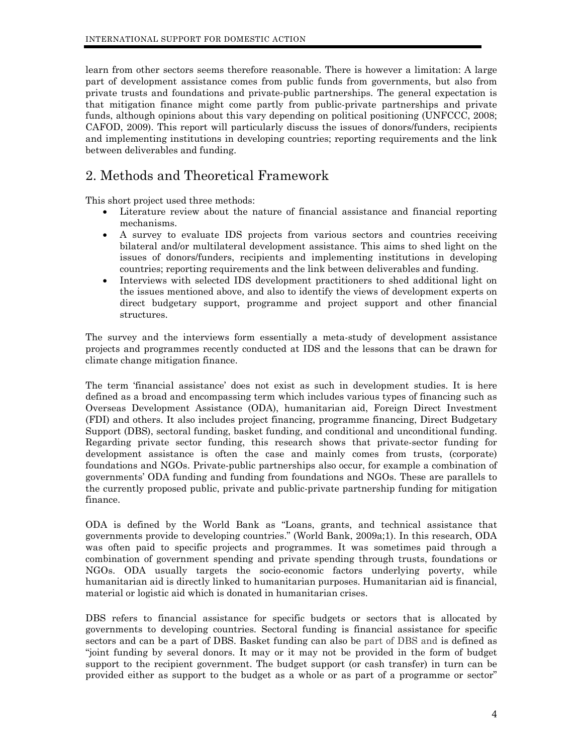<span id="page-4-0"></span>learn from other sectors seems therefore reasonable. There is however a limitation: A large part of development assistance comes from public funds from governments, but also from private trusts and foundations and private-public partnerships. The general expectation is that mitigation finance might come partly from public-private partnerships and private funds, although opinions about this vary depending on political positioning (UNFCCC, 2008; CAFOD, 2009). This report will particularly discuss the issues of donors/funders, recipients and implementing institutions in developing countries; reporting requirements and the link between deliverables and funding.

# 2. Methods and Theoretical Framework

This short project used three methods:

- Literature review about the nature of financial assistance and financial reporting mechanisms.
- A survey to evaluate IDS projects from various sectors and countries receiving bilateral and/or multilateral development assistance. This aims to shed light on the issues of donors/funders, recipients and implementing institutions in developing countries; reporting requirements and the link between deliverables and funding.
- Interviews with selected IDS development practitioners to shed additional light on the issues mentioned above, and also to identify the views of development experts on direct budgetary support, programme and project support and other financial structures.

The survey and the interviews form essentially a meta-study of development assistance projects and programmes recently conducted at IDS and the lessons that can be drawn for climate change mitigation finance.

The term 'financial assistance' does not exist as such in development studies. It is here defined as a broad and encompassing term which includes various types of financing such as Overseas Development Assistance (ODA), humanitarian aid, Foreign Direct Investment (FDI) and others. It also includes project financing, programme financing, Direct Budgetary Support (DBS), sectoral funding, basket funding, and conditional and unconditional funding. Regarding private sector funding, this research shows that private-sector funding for development assistance is often the case and mainly comes from trusts, (corporate) foundations and NGOs. Private-public partnerships also occur, for example a combination of governments' ODA funding and funding from foundations and NGOs. These are parallels to the currently proposed public, private and public-private partnership funding for mitigation finance.

ODA is defined by the World Bank as "Loans, grants, and technical assistance that governments provide to developing countries." (World Bank, 2009a;1). In this research, ODA was often paid to specific projects and programmes. It was sometimes paid through a combination of government spending and private spending through trusts, foundations or NGOs. ODA usually targets the socio-economic factors underlying poverty, while humanitarian aid is directly linked to humanitarian purposes. Humanitarian aid is financial, material or logistic aid which is donated in humanitarian crises.

DBS refers to financial assistance for specific budgets or sectors that is allocated by governments to developing countries. Sectoral funding is financial assistance for specific sectors and can be a part of DBS. Basket funding can also be part of DBS and is defined as "joint funding by several donors. It may or it may not be provided in the form of budget support to the recipient government. The budget support (or cash transfer) in turn can be provided either as support to the budget as a whole or as part of a programme or sector"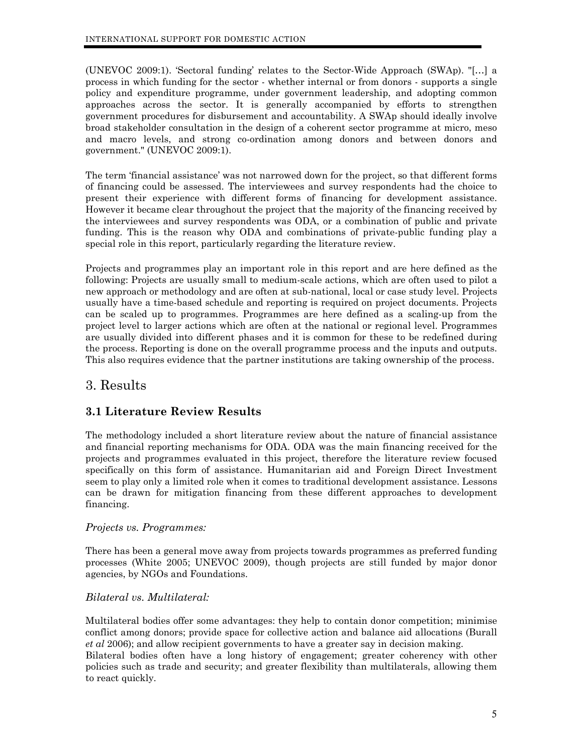<span id="page-5-0"></span>(UNEVOC 2009:1). 'Sectoral funding' relates to the Sector-Wide Approach (SWAp). "[…] a process in which funding for the sector - whether internal or from donors - supports a single policy and expenditure programme, under government leadership, and adopting common approaches across the sector. It is generally accompanied by efforts to strengthen government procedures for disbursement and accountability. A SWAp should ideally involve broad stakeholder consultation in the design of a coherent sector programme at micro, meso and macro levels, and strong co-ordination among donors and between donors and government." (UNEVOC 2009:1).

The term 'financial assistance' was not narrowed down for the project, so that different forms of financing could be assessed. The interviewees and survey respondents had the choice to present their experience with different forms of financing for development assistance. However it became clear throughout the project that the majority of the financing received by the interviewees and survey respondents was ODA, or a combination of public and private funding. This is the reason why ODA and combinations of private-public funding play a special role in this report, particularly regarding the literature review.

Projects and programmes play an important role in this report and are here defined as the following: Projects are usually small to medium-scale actions, which are often used to pilot a new approach or methodology and are often at sub-national, local or case study level. Projects usually have a time-based schedule and reporting is required on project documents. Projects can be scaled up to programmes. Programmes are here defined as a scaling-up from the project level to larger actions which are often at the national or regional level. Programmes are usually divided into different phases and it is common for these to be redefined during the process. Reporting is done on the overall programme process and the inputs and outputs. This also requires evidence that the partner institutions are taking ownership of the process.

# 3. Results

# **3.1 Literature Review Results**

The methodology included a short literature review about the nature of financial assistance and financial reporting mechanisms for ODA. ODA was the main financing received for the projects and programmes evaluated in this project, therefore the literature review focused specifically on this form of assistance. Humanitarian aid and Foreign Direct Investment seem to play only a limited role when it comes to traditional development assistance. Lessons can be drawn for mitigation financing from these different approaches to development financing.

# *Projects vs. Programmes:*

There has been a general move away from projects towards programmes as preferred funding processes (White 2005; UNEVOC 2009), though projects are still funded by major donor agencies, by NGOs and Foundations.

# *Bilateral vs. Multilateral:*

Multilateral bodies offer some advantages: they help to contain donor competition; minimise conflict among donors; provide space for collective action and balance aid allocations (Burall *et al* 2006); and allow recipient governments to have a greater say in decision making. Bilateral bodies often have a long history of engagement; greater coherency with other policies such as trade and security; and greater flexibility than multilaterals, allowing them to react quickly.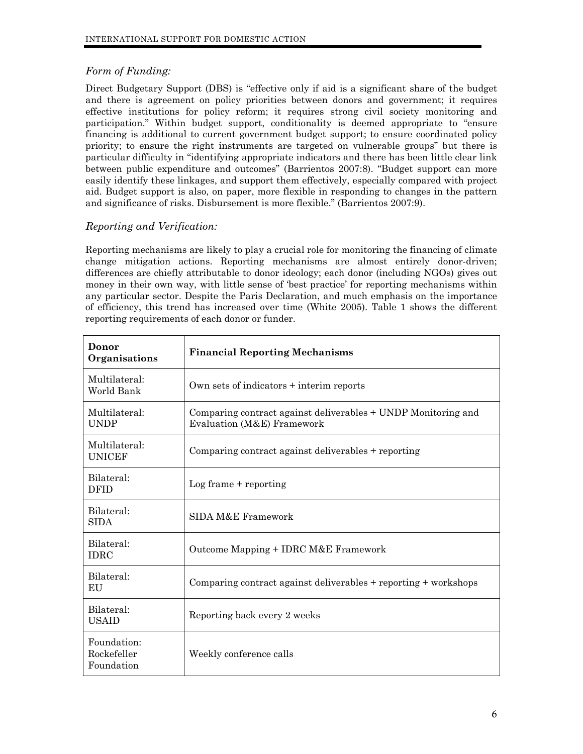# *Form of Funding:*

Direct Budgetary Support (DBS) is "effective only if aid is a significant share of the budget and there is agreement on policy priorities between donors and government; it requires effective institutions for policy reform; it requires strong civil society monitoring and participation." Within budget support, conditionality is deemed appropriate to "ensure financing is additional to current government budget support; to ensure coordinated policy priority; to ensure the right instruments are targeted on vulnerable groups" but there is particular difficulty in "identifying appropriate indicators and there has been little clear link between public expenditure and outcomes" (Barrientos 2007:8). "Budget support can more easily identify these linkages, and support them effectively, especially compared with project aid. Budget support is also, on paper, more flexible in responding to changes in the pattern and significance of risks. Disbursement is more flexible." (Barrientos 2007:9).

# *Reporting and Verification:*

Reporting mechanisms are likely to play a crucial role for monitoring the financing of climate change mitigation actions. Reporting mechanisms are almost entirely donor-driven; differences are chiefly attributable to donor ideology; each donor (including NGOs) gives out money in their own way, with little sense of 'best practice' for reporting mechanisms within any particular sector. Despite the Paris Declaration, and much emphasis on the importance of efficiency, this trend has increased over time (White 2005). Table 1 shows the different reporting requirements of each donor or funder.

| Donor<br>Organisations                   | <b>Financial Reporting Mechanisms</b>                                                       |
|------------------------------------------|---------------------------------------------------------------------------------------------|
| Multilateral:<br>World Bank              | Own sets of indicators + interim reports                                                    |
| Multilateral:<br><b>UNDP</b>             | Comparing contract against deliverables + UNDP Monitoring and<br>Evaluation (M&E) Framework |
| Multilateral:<br><b>UNICEF</b>           | Comparing contract against deliverables + reporting                                         |
| Bilateral:<br><b>DFID</b>                | $Log frame + reporting$                                                                     |
| Bilateral:<br><b>SIDA</b>                | SIDA M&E Framework                                                                          |
| Bilateral:<br><b>IDRC</b>                | Outcome Mapping + IDRC M&E Framework                                                        |
| Bilateral:<br>EU                         | Comparing contract against deliverables + reporting + workshops                             |
| Bilateral:<br><b>USAID</b>               | Reporting back every 2 weeks                                                                |
| Foundation:<br>Rockefeller<br>Foundation | Weekly conference calls                                                                     |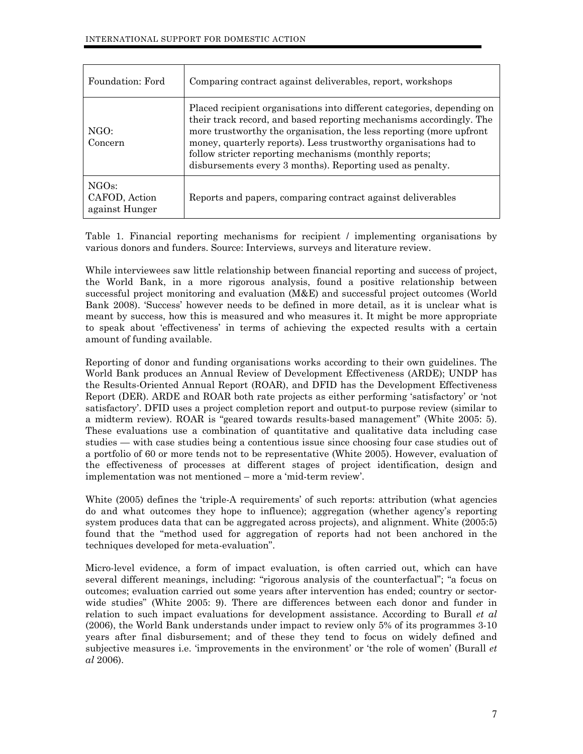| Foundation: Ford                                      | Comparing contract against deliverables, report, workshops                                                                                                                                                                                                                                                                                                                                                      |
|-------------------------------------------------------|-----------------------------------------------------------------------------------------------------------------------------------------------------------------------------------------------------------------------------------------------------------------------------------------------------------------------------------------------------------------------------------------------------------------|
| NGO:<br>Concern                                       | Placed recipient organisations into different categories, depending on<br>their track record, and based reporting mechanisms accordingly. The<br>more trustworthy the organisation, the less reporting (more upfront<br>money, quarterly reports). Less trustworthy organisations had to<br>follow stricter reporting mechanisms (monthly reports;<br>disbursements every 3 months). Reporting used as penalty. |
| NGO <sub>s</sub> :<br>CAFOD, Action<br>against Hunger | Reports and papers, comparing contract against deliverables                                                                                                                                                                                                                                                                                                                                                     |

Table 1. Financial reporting mechanisms for recipient / implementing organisations by various donors and funders. Source: Interviews, surveys and literature review.

While interviewees saw little relationship between financial reporting and success of project, the World Bank, in a more rigorous analysis, found a positive relationship between successful project monitoring and evaluation (M&E) and successful project outcomes (World Bank 2008). 'Success' however needs to be defined in more detail, as it is unclear what is meant by success, how this is measured and who measures it. It might be more appropriate to speak about 'effectiveness' in terms of achieving the expected results with a certain amount of funding available.

Reporting of donor and funding organisations works according to their own guidelines. The World Bank produces an Annual Review of Development Effectiveness (ARDE); UNDP has the Results-Oriented Annual Report (ROAR), and DFID has the Development Effectiveness Report (DER). ARDE and ROAR both rate projects as either performing 'satisfactory' or 'not satisfactory'. DFID uses a project completion report and output-to purpose review (similar to a midterm review). ROAR is "geared towards results-based management" (White 2005: 5). These evaluations use a combination of quantitative and qualitative data including case studies — with case studies being a contentious issue since choosing four case studies out of a portfolio of 60 or more tends not to be representative (White 2005). However, evaluation of the effectiveness of processes at different stages of project identification, design and implementation was not mentioned – more a 'mid-term review'.

White (2005) defines the 'triple-A requirements' of such reports: attribution (what agencies do and what outcomes they hope to influence); aggregation (whether agency's reporting system produces data that can be aggregated across projects), and alignment. White (2005:5) found that the "method used for aggregation of reports had not been anchored in the techniques developed for meta-evaluation".

Micro-level evidence, a form of impact evaluation, is often carried out, which can have several different meanings, including: "rigorous analysis of the counterfactual"; "a focus on outcomes; evaluation carried out some years after intervention has ended; country or sectorwide studies" (White 2005: 9). There are differences between each donor and funder in relation to such impact evaluations for development assistance. According to Burall *et al* (2006), the World Bank understands under impact to review only 5% of its programmes 3-10 years after final disbursement; and of these they tend to focus on widely defined and subjective measures i.e. 'improvements in the environment' or 'the role of women' (Burall *et al* 2006).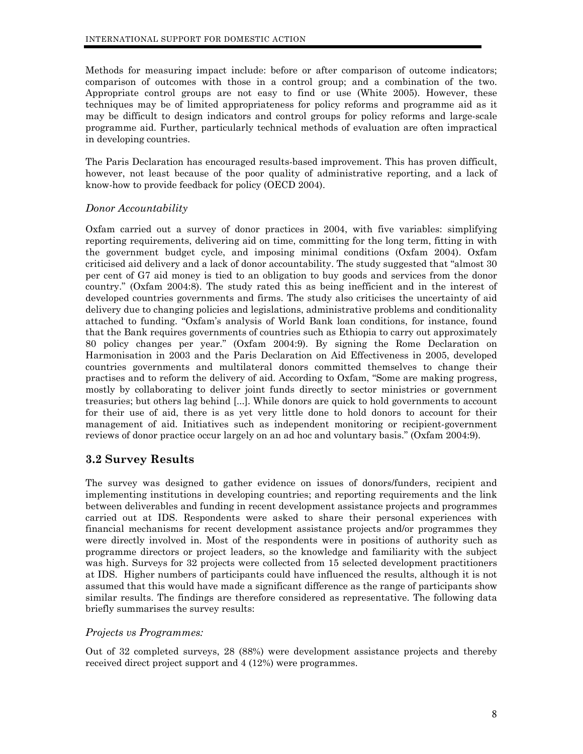<span id="page-8-0"></span>Methods for measuring impact include: before or after comparison of outcome indicators; comparison of outcomes with those in a control group; and a combination of the two. Appropriate control groups are not easy to find or use (White 2005). However, these techniques may be of limited appropriateness for policy reforms and programme aid as it may be difficult to design indicators and control groups for policy reforms and large-scale programme aid. Further, particularly technical methods of evaluation are often impractical in developing countries.

The Paris Declaration has encouraged results-based improvement. This has proven difficult, however, not least because of the poor quality of administrative reporting, and a lack of know-how to provide feedback for policy (OECD 2004).

#### *Donor Accountability*

Oxfam carried out a survey of donor practices in 2004, with five variables: simplifying reporting requirements, delivering aid on time, committing for the long term, fitting in with the government budget cycle, and imposing minimal conditions (Oxfam 2004). Oxfam criticised aid delivery and a lack of donor accountability. The study suggested that "almost 30 per cent of G7 aid money is tied to an obligation to buy goods and services from the donor country." (Oxfam 2004:8). The study rated this as being inefficient and in the interest of developed countries governments and firms. The study also criticises the uncertainty of aid delivery due to changing policies and legislations, administrative problems and conditionality attached to funding. "Oxfam's analysis of World Bank loan conditions, for instance, found that the Bank requires governments of countries such as Ethiopia to carry out approximately 80 policy changes per year." (Oxfam 2004:9). By signing the Rome Declaration on Harmonisation in 2003 and the Paris Declaration on Aid Effectiveness in 2005, developed countries governments and multilateral donors committed themselves to change their practises and to reform the delivery of aid. According to Oxfam, "Some are making progress, mostly by collaborating to deliver joint funds directly to sector ministries or government treasuries; but others lag behind [...]. While donors are quick to hold governments to account for their use of aid, there is as yet very little done to hold donors to account for their management of aid. Initiatives such as independent monitoring or recipient-government reviews of donor practice occur largely on an ad hoc and voluntary basis." (Oxfam 2004:9).

# **3.2 Survey Results**

The survey was designed to gather evidence on issues of donors/funders, recipient and implementing institutions in developing countries; and reporting requirements and the link between deliverables and funding in recent development assistance projects and programmes carried out at IDS. Respondents were asked to share their personal experiences with financial mechanisms for recent development assistance projects and/or programmes they were directly involved in. Most of the respondents were in positions of authority such as programme directors or project leaders, so the knowledge and familiarity with the subject was high. Surveys for 32 projects were collected from 15 selected development practitioners at IDS. Higher numbers of participants could have influenced the results, although it is not assumed that this would have made a significant difference as the range of participants show similar results. The findings are therefore considered as representative. The following data briefly summarises the survey results:

#### *Projects vs Programmes:*

Out of 32 completed surveys, 28 (88%) were development assistance projects and thereby received direct project support and 4 (12%) were programmes.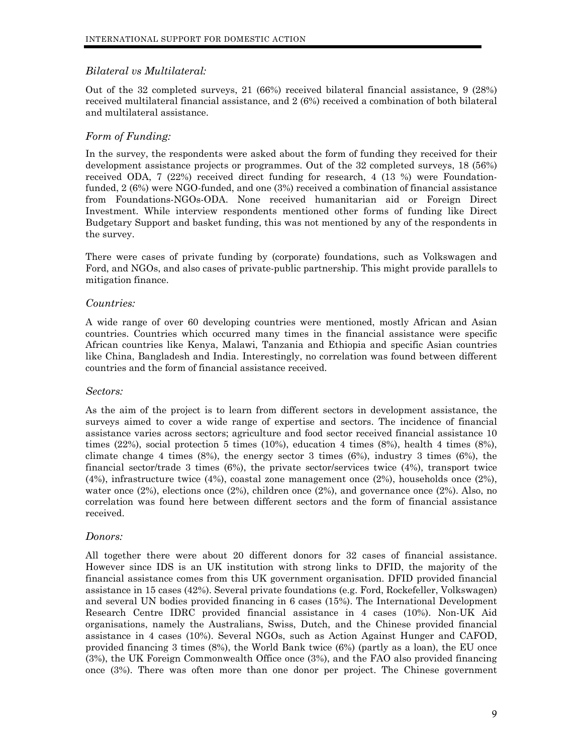## *Bilateral vs Multilateral:*

Out of the 32 completed surveys, 21 (66%) received bilateral financial assistance, 9 (28%) received multilateral financial assistance, and 2 (6%) received a combination of both bilateral and multilateral assistance.

## *Form of Funding:*

In the survey, the respondents were asked about the form of funding they received for their development assistance projects or programmes. Out of the 32 completed surveys, 18 (56%) received ODA, 7 (22%) received direct funding for research, 4 (13 %) were Foundationfunded, 2 (6%) were NGO-funded, and one (3%) received a combination of financial assistance from Foundations-NGOs-ODA. None received humanitarian aid or Foreign Direct Investment. While interview respondents mentioned other forms of funding like Direct Budgetary Support and basket funding, this was not mentioned by any of the respondents in the survey.

There were cases of private funding by (corporate) foundations, such as Volkswagen and Ford, and NGOs, and also cases of private-public partnership. This might provide parallels to mitigation finance.

## *Countries:*

A wide range of over 60 developing countries were mentioned, mostly African and Asian countries. Countries which occurred many times in the financial assistance were specific African countries like Kenya, Malawi, Tanzania and Ethiopia and specific Asian countries like China, Bangladesh and India. Interestingly, no correlation was found between different countries and the form of financial assistance received.

#### *Sectors:*

As the aim of the project is to learn from different sectors in development assistance, the surveys aimed to cover a wide range of expertise and sectors. The incidence of financial assistance varies across sectors; agriculture and food sector received financial assistance 10 times (22%), social protection 5 times (10%), education 4 times (8%), health 4 times (8%), climate change 4 times  $(8%)$ , the energy sector 3 times  $(6%)$ , industry 3 times  $(6%)$ , the financial sector/trade 3 times (6%), the private sector/services twice (4%), transport twice (4%), infrastructure twice (4%), coastal zone management once (2%), households once (2%), water once (2%), elections once (2%), children once (2%), and governance once (2%). Also, no correlation was found here between different sectors and the form of financial assistance received.

#### *Donors:*

All together there were about 20 different donors for 32 cases of financial assistance. However since IDS is an UK institution with strong links to DFID, the majority of the financial assistance comes from this UK government organisation. DFID provided financial assistance in 15 cases (42%). Several private foundations (e.g. Ford, Rockefeller, Volkswagen) and several UN bodies provided financing in 6 cases (15%). The International Development Research Centre IDRC provided financial assistance in 4 cases (10%). Non-UK Aid organisations, namely the Australians, Swiss, Dutch, and the Chinese provided financial assistance in 4 cases (10%). Several NGOs, such as Action Against Hunger and CAFOD, provided financing 3 times (8%), the World Bank twice (6%) (partly as a loan), the EU once (3%), the UK Foreign Commonwealth Office once (3%), and the FAO also provided financing once (3%). There was often more than one donor per project. The Chinese government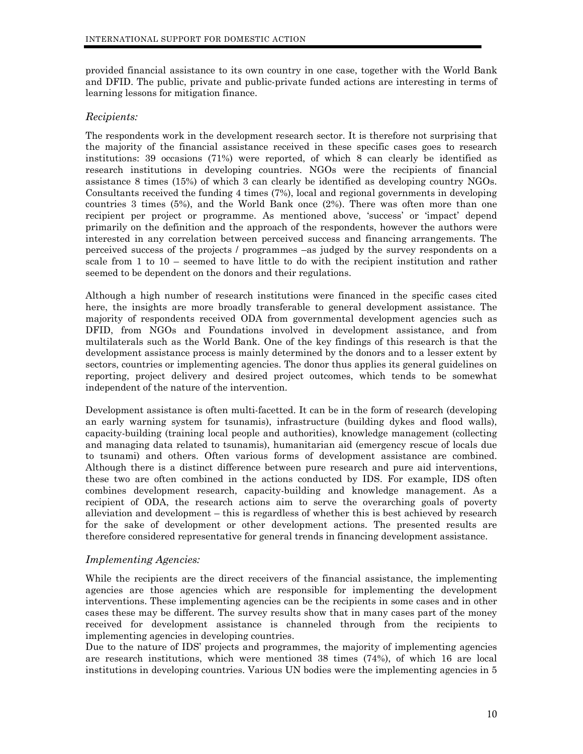provided financial assistance to its own country in one case, together with the World Bank and DFID. The public, private and public-private funded actions are interesting in terms of learning lessons for mitigation finance.

#### *Recipients:*

The respondents work in the development research sector. It is therefore not surprising that the majority of the financial assistance received in these specific cases goes to research institutions: 39 occasions (71%) were reported, of which 8 can clearly be identified as research institutions in developing countries. NGOs were the recipients of financial assistance 8 times (15%) of which 3 can clearly be identified as developing country NGOs. Consultants received the funding 4 times (7%), local and regional governments in developing countries 3 times (5%), and the World Bank once (2%). There was often more than one recipient per project or programme. As mentioned above, 'success' or 'impact' depend primarily on the definition and the approach of the respondents, however the authors were interested in any correlation between perceived success and financing arrangements. The perceived success of the projects / programmes –as judged by the survey respondents on a scale from 1 to 10 – seemed to have little to do with the recipient institution and rather seemed to be dependent on the donors and their regulations.

Although a high number of research institutions were financed in the specific cases cited here, the insights are more broadly transferable to general development assistance. The majority of respondents received ODA from governmental development agencies such as DFID, from NGOs and Foundations involved in development assistance, and from multilaterals such as the World Bank. One of the key findings of this research is that the development assistance process is mainly determined by the donors and to a lesser extent by sectors, countries or implementing agencies. The donor thus applies its general guidelines on reporting, project delivery and desired project outcomes, which tends to be somewhat independent of the nature of the intervention.

Development assistance is often multi-facetted. It can be in the form of research (developing an early warning system for tsunamis), infrastructure (building dykes and flood walls), capacity-building (training local people and authorities), knowledge management (collecting and managing data related to tsunamis), humanitarian aid (emergency rescue of locals due to tsunami) and others. Often various forms of development assistance are combined. Although there is a distinct difference between pure research and pure aid interventions, these two are often combined in the actions conducted by IDS. For example, IDS often combines development research, capacity-building and knowledge management. As a recipient of ODA, the research actions aim to serve the overarching goals of poverty alleviation and development – this is regardless of whether this is best achieved by research for the sake of development or other development actions. The presented results are therefore considered representative for general trends in financing development assistance.

#### *Implementing Agencies:*

While the recipients are the direct receivers of the financial assistance, the implementing agencies are those agencies which are responsible for implementing the development interventions. These implementing agencies can be the recipients in some cases and in other cases these may be different. The survey results show that in many cases part of the money received for development assistance is channeled through from the recipients to implementing agencies in developing countries.

Due to the nature of IDS' projects and programmes, the majority of implementing agencies are research institutions, which were mentioned 38 times (74%), of which 16 are local institutions in developing countries. Various UN bodies were the implementing agencies in 5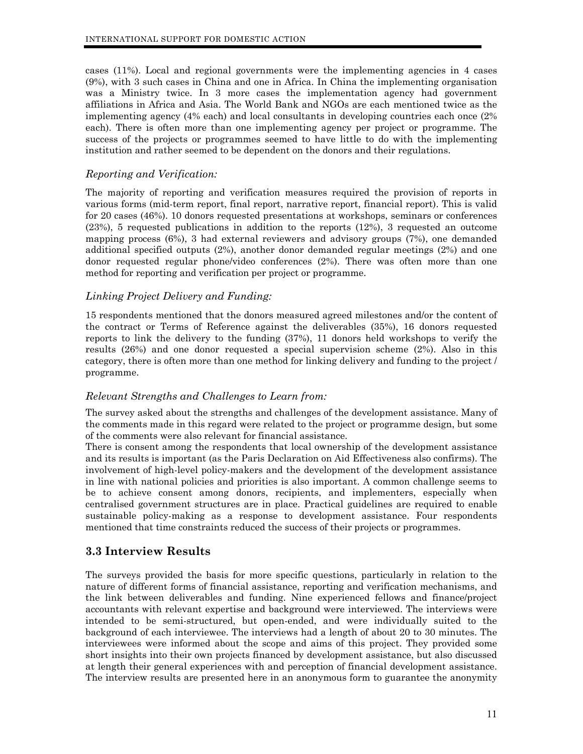<span id="page-11-0"></span>cases (11%). Local and regional governments were the implementing agencies in 4 cases (9%), with 3 such cases in China and one in Africa. In China the implementing organisation was a Ministry twice. In 3 more cases the implementation agency had government affiliations in Africa and Asia. The World Bank and NGOs are each mentioned twice as the implementing agency (4% each) and local consultants in developing countries each once (2% each). There is often more than one implementing agency per project or programme. The success of the projects or programmes seemed to have little to do with the implementing institution and rather seemed to be dependent on the donors and their regulations.

#### *Reporting and Verification:*

The majority of reporting and verification measures required the provision of reports in various forms (mid-term report, final report, narrative report, financial report). This is valid for 20 cases (46%). 10 donors requested presentations at workshops, seminars or conferences (23%), 5 requested publications in addition to the reports (12%), 3 requested an outcome mapping process (6%), 3 had external reviewers and advisory groups (7%), one demanded additional specified outputs (2%), another donor demanded regular meetings (2%) and one donor requested regular phone/video conferences (2%). There was often more than one method for reporting and verification per project or programme.

# *Linking Project Delivery and Funding:*

15 respondents mentioned that the donors measured agreed milestones and/or the content of the contract or Terms of Reference against the deliverables (35%), 16 donors requested reports to link the delivery to the funding (37%), 11 donors held workshops to verify the results (26%) and one donor requested a special supervision scheme (2%). Also in this category, there is often more than one method for linking delivery and funding to the project / programme.

#### *Relevant Strengths and Challenges to Learn from:*

The survey asked about the strengths and challenges of the development assistance. Many of the comments made in this regard were related to the project or programme design, but some of the comments were also relevant for financial assistance.

There is consent among the respondents that local ownership of the development assistance and its results is important (as the Paris Declaration on Aid Effectiveness also confirms). The involvement of high-level policy-makers and the development of the development assistance in line with national policies and priorities is also important. A common challenge seems to be to achieve consent among donors, recipients, and implementers, especially when centralised government structures are in place. Practical guidelines are required to enable sustainable policy-making as a response to development assistance. Four respondents mentioned that time constraints reduced the success of their projects or programmes.

# **3.3 Interview Results**

The surveys provided the basis for more specific questions, particularly in relation to the nature of different forms of financial assistance, reporting and verification mechanisms, and the link between deliverables and funding. Nine experienced fellows and finance/project accountants with relevant expertise and background were interviewed. The interviews were intended to be semi-structured, but open-ended, and were individually suited to the background of each interviewee. The interviews had a length of about 20 to 30 minutes. The interviewees were informed about the scope and aims of this project. They provided some short insights into their own projects financed by development assistance, but also discussed at length their general experiences with and perception of financial development assistance. The interview results are presented here in an anonymous form to guarantee the anonymity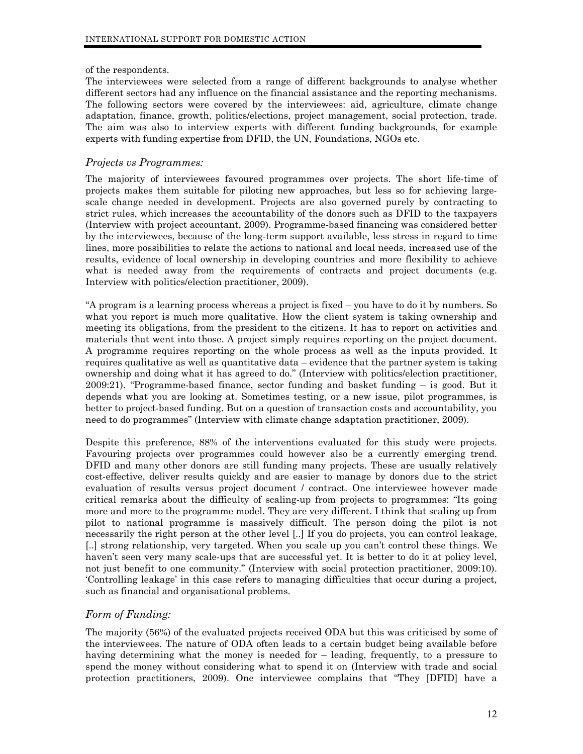#### of the respondents.

The interviewees were selected from a range of different backgrounds to analyse whether different sectors had any influence on the financial assistance and the reporting mechanisms. The following sectors were covered by the interviewees: aid, agriculture, climate change adaptation, finance, growth, politics/elections, project management, social protection, trade. The aim was also to interview experts with different funding backgrounds, for example experts with funding expertise from DFID, the UN, Foundations, NGOs etc.

#### *Projects vs Programmes:*

The majority of interviewees favoured programmes over projects. The short life-time of projects makes them suitable for piloting new approaches, but less so for achieving largescale change needed in development. Projects are also governed purely by contracting to strict rules, which increases the accountability of the donors such as DFID to the taxpayers (Interview with project accountant, 2009). Programme-based financing was considered better by the interviewees, because of the long-term support available, less stress in regard to time lines, more possibilities to relate the actions to national and local needs, increased use of the results, evidence of local ownership in developing countries and more flexibility to achieve what is needed away from the requirements of contracts and project documents (e.g. Interview with politics/election practitioner, 2009).

"A program is a learning process whereas a project is fixed – you have to do it by numbers. So what you report is much more qualitative. How the client system is taking ownership and meeting its obligations, from the president to the citizens. It has to report on activities and materials that went into those. A project simply requires reporting on the project document. A programme requires reporting on the whole process as well as the inputs provided. It requires qualitative as well as quantitative data – evidence that the partner system is taking ownership and doing what it has agreed to do." (Interview with politics/election practitioner, 2009:21). "Programme-based finance, sector funding and basket funding – is good. But it depends what you are looking at. Sometimes testing, or a new issue, pilot programmes, is better to project-based funding. But on a question of transaction costs and accountability, you need to do programmes" (Interview with climate change adaptation practitioner, 2009).

Despite this preference, 88% of the interventions evaluated for this study were projects. Favouring projects over programmes could however also be a currently emerging trend. DFID and many other donors are still funding many projects. These are usually relatively cost-effective, deliver results quickly and are easier to manage by donors due to the strict evaluation of results versus project document / contract. One interviewee however made critical remarks about the difficulty of scaling-up from projects to programmes: "Its going more and more to the programme model. They are very different. I think that scaling up from pilot to national programme is massively difficult. The person doing the pilot is not necessarily the right person at the other level [..] If you do projects, you can control leakage, [..] strong relationship, very targeted. When you scale up you can't control these things. We haven't seen very many scale-ups that are successful yet. It is better to do it at policy level, not just benefit to one community." (Interview with social protection practitioner, 2009:10). 'Controlling leakage' in this case refers to managing difficulties that occur during a project, such as financial and organisational problems.

#### *Form of Funding:*

The majority (56%) of the evaluated projects received ODA but this was criticised by some of the interviewees. The nature of ODA often leads to a certain budget being available before having determining what the money is needed for – leading, frequently, to a pressure to spend the money without considering what to spend it on (Interview with trade and social protection practitioners, 2009). One interviewee complains that "They [DFID] have a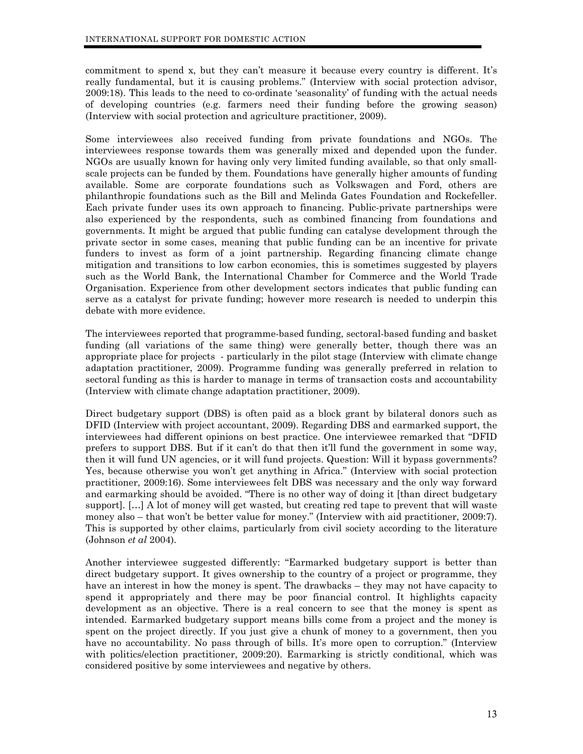commitment to spend x, but they can't measure it because every country is different. It's really fundamental, but it is causing problems." (Interview with social protection advisor, 2009:18). This leads to the need to co-ordinate 'seasonality' of funding with the actual needs of developing countries (e.g. farmers need their funding before the growing season) (Interview with social protection and agriculture practitioner, 2009).

Some interviewees also received funding from private foundations and NGOs. The interviewees response towards them was generally mixed and depended upon the funder. NGOs are usually known for having only very limited funding available, so that only smallscale projects can be funded by them. Foundations have generally higher amounts of funding available. Some are corporate foundations such as Volkswagen and Ford, others are philanthropic foundations such as the Bill and Melinda Gates Foundation and Rockefeller. Each private funder uses its own approach to financing. Public-private partnerships were also experienced by the respondents, such as combined financing from foundations and governments. It might be argued that public funding can catalyse development through the private sector in some cases, meaning that public funding can be an incentive for private funders to invest as form of a joint partnership. Regarding financing climate change mitigation and transitions to low carbon economies, this is sometimes suggested by players such as the World Bank, the International Chamber for Commerce and the World Trade Organisation. Experience from other development sectors indicates that public funding can serve as a catalyst for private funding; however more research is needed to underpin this debate with more evidence.

The interviewees reported that programme-based funding, sectoral-based funding and basket funding (all variations of the same thing) were generally better, though there was an appropriate place for projects - particularly in the pilot stage (Interview with climate change adaptation practitioner, 2009). Programme funding was generally preferred in relation to sectoral funding as this is harder to manage in terms of transaction costs and accountability (Interview with climate change adaptation practitioner, 2009).

Direct budgetary support (DBS) is often paid as a block grant by bilateral donors such as DFID (Interview with project accountant, 2009). Regarding DBS and earmarked support, the interviewees had different opinions on best practice. One interviewee remarked that "DFID prefers to support DBS. But if it can't do that then it'll fund the government in some way, then it will fund UN agencies, or it will fund projects. Question: Will it bypass governments? Yes, because otherwise you won't get anything in Africa." (Interview with social protection practitioner, 2009:16). Some interviewees felt DBS was necessary and the only way forward and earmarking should be avoided. "There is no other way of doing it [than direct budgetary support]. […] A lot of money will get wasted, but creating red tape to prevent that will waste money also – that won't be better value for money." (Interview with aid practitioner, 2009:7). This is supported by other claims, particularly from civil society according to the literature (Johnson *et al* 2004).

Another interviewee suggested differently: "Earmarked budgetary support is better than direct budgetary support. It gives ownership to the country of a project or programme, they have an interest in how the money is spent. The drawbacks – they may not have capacity to spend it appropriately and there may be poor financial control. It highlights capacity development as an objective. There is a real concern to see that the money is spent as intended. Earmarked budgetary support means bills come from a project and the money is spent on the project directly. If you just give a chunk of money to a government, then you have no accountability. No pass through of bills. It's more open to corruption." (Interview with politics/election practitioner, 2009:20). Earmarking is strictly conditional, which was considered positive by some interviewees and negative by others.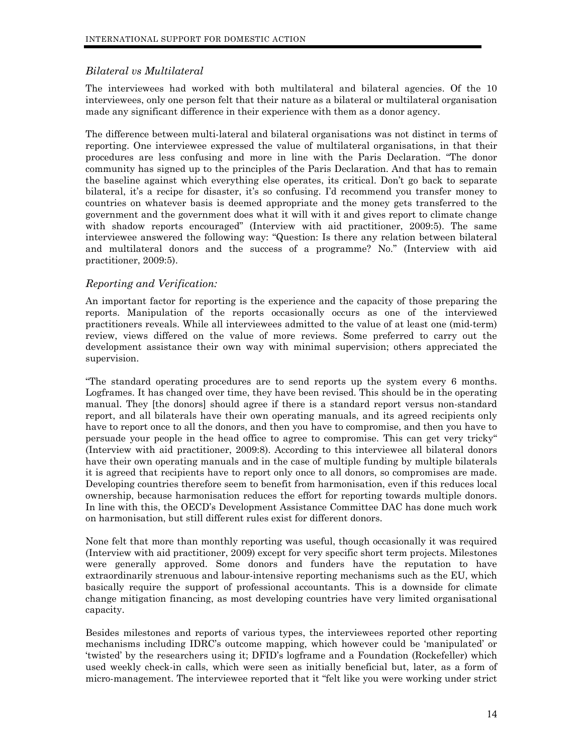## *Bilateral vs Multilateral*

The interviewees had worked with both multilateral and bilateral agencies. Of the 10 interviewees, only one person felt that their nature as a bilateral or multilateral organisation made any significant difference in their experience with them as a donor agency.

The difference between multi-lateral and bilateral organisations was not distinct in terms of reporting. One interviewee expressed the value of multilateral organisations, in that their procedures are less confusing and more in line with the Paris Declaration. "The donor community has signed up to the principles of the Paris Declaration. And that has to remain the baseline against which everything else operates, its critical. Don't go back to separate bilateral, it's a recipe for disaster, it's so confusing. I'd recommend you transfer money to countries on whatever basis is deemed appropriate and the money gets transferred to the government and the government does what it will with it and gives report to climate change with shadow reports encouraged" (Interview with aid practitioner, 2009:5). The same interviewee answered the following way: "Question: Is there any relation between bilateral and multilateral donors and the success of a programme? No." (Interview with aid practitioner, 2009:5).

## *Reporting and Verification:*

An important factor for reporting is the experience and the capacity of those preparing the reports. Manipulation of the reports occasionally occurs as one of the interviewed practitioners reveals. While all interviewees admitted to the value of at least one (mid-term) review, views differed on the value of more reviews. Some preferred to carry out the development assistance their own way with minimal supervision; others appreciated the supervision.

"The standard operating procedures are to send reports up the system every 6 months. Logframes. It has changed over time, they have been revised. This should be in the operating manual. They [the donors] should agree if there is a standard report versus non-standard report, and all bilaterals have their own operating manuals, and its agreed recipients only have to report once to all the donors, and then you have to compromise, and then you have to persuade your people in the head office to agree to compromise. This can get very tricky" (Interview with aid practitioner, 2009:8). According to this interviewee all bilateral donors have their own operating manuals and in the case of multiple funding by multiple bilaterals it is agreed that recipients have to report only once to all donors, so compromises are made. Developing countries therefore seem to benefit from harmonisation, even if this reduces local ownership, because harmonisation reduces the effort for reporting towards multiple donors. In line with this, the OECD's Development Assistance Committee DAC has done much work on harmonisation, but still different rules exist for different donors.

None felt that more than monthly reporting was useful, though occasionally it was required (Interview with aid practitioner, 2009) except for very specific short term projects. Milestones were generally approved. Some donors and funders have the reputation to have extraordinarily strenuous and labour-intensive reporting mechanisms such as the EU, which basically require the support of professional accountants. This is a downside for climate change mitigation financing, as most developing countries have very limited organisational capacity.

Besides milestones and reports of various types, the interviewees reported other reporting mechanisms including IDRC's outcome mapping, which however could be 'manipulated' or 'twisted' by the researchers using it; DFID's logframe and a Foundation (Rockefeller) which used weekly check-in calls, which were seen as initially beneficial but, later, as a form of micro-management. The interviewee reported that it "felt like you were working under strict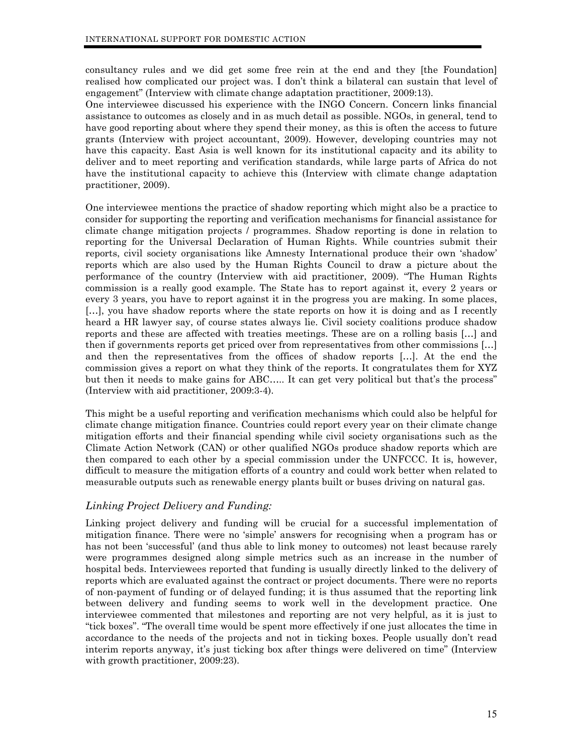consultancy rules and we did get some free rein at the end and they [the Foundation] realised how complicated our project was. I don't think a bilateral can sustain that level of engagement" (Interview with climate change adaptation practitioner, 2009:13).

One interviewee discussed his experience with the INGO Concern. Concern links financial assistance to outcomes as closely and in as much detail as possible. NGOs, in general, tend to have good reporting about where they spend their money, as this is often the access to future grants (Interview with project accountant, 2009). However, developing countries may not have this capacity. East Asia is well known for its institutional capacity and its ability to deliver and to meet reporting and verification standards, while large parts of Africa do not have the institutional capacity to achieve this (Interview with climate change adaptation practitioner, 2009).

One interviewee mentions the practice of shadow reporting which might also be a practice to consider for supporting the reporting and verification mechanisms for financial assistance for climate change mitigation projects / programmes. Shadow reporting is done in relation to reporting for the Universal Declaration of Human Rights. While countries submit their reports, civil society organisations like Amnesty International produce their own 'shadow' reports which are also used by the Human Rights Council to draw a picture about the performance of the country (Interview with aid practitioner, 2009). "The Human Rights commission is a really good example. The State has to report against it, every 2 years or every 3 years, you have to report against it in the progress you are making. In some places, […], you have shadow reports where the state reports on how it is doing and as I recently heard a HR lawyer say, of course states always lie. Civil society coalitions produce shadow reports and these are affected with treaties meetings. These are on a rolling basis […] and then if governments reports get priced over from representatives from other commissions […] and then the representatives from the offices of shadow reports […]. At the end the commission gives a report on what they think of the reports. It congratulates them for XYZ but then it needs to make gains for ABC….. It can get very political but that's the process" (Interview with aid practitioner, 2009:3-4).

This might be a useful reporting and verification mechanisms which could also be helpful for climate change mitigation finance. Countries could report every year on their climate change mitigation efforts and their financial spending while civil society organisations such as the Climate Action Network (CAN) or other qualified NGOs produce shadow reports which are then compared to each other by a special commission under the UNFCCC. It is, however, difficult to measure the mitigation efforts of a country and could work better when related to measurable outputs such as renewable energy plants built or buses driving on natural gas.

# *Linking Project Delivery and Funding:*

Linking project delivery and funding will be crucial for a successful implementation of mitigation finance. There were no 'simple' answers for recognising when a program has or has not been 'successful' (and thus able to link money to outcomes) not least because rarely were programmes designed along simple metrics such as an increase in the number of hospital beds. Interviewees reported that funding is usually directly linked to the delivery of reports which are evaluated against the contract or project documents. There were no reports of non-payment of funding or of delayed funding; it is thus assumed that the reporting link between delivery and funding seems to work well in the development practice. One interviewee commented that milestones and reporting are not very helpful, as it is just to "tick boxes". "The overall time would be spent more effectively if one just allocates the time in accordance to the needs of the projects and not in ticking boxes. People usually don't read interim reports anyway, it's just ticking box after things were delivered on time" (Interview with growth practitioner, 2009:23).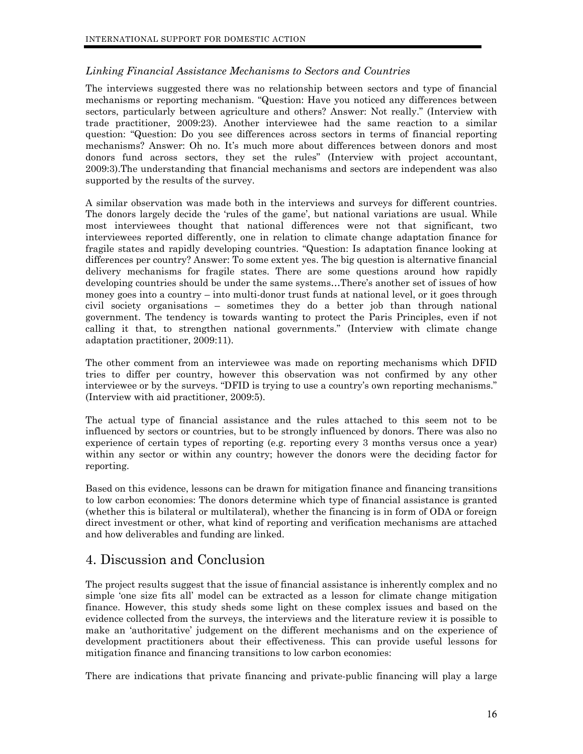## <span id="page-16-0"></span>*Linking Financial Assistance Mechanisms to Sectors and Countries*

The interviews suggested there was no relationship between sectors and type of financial mechanisms or reporting mechanism. "Question: Have you noticed any differences between sectors, particularly between agriculture and others? Answer: Not really." (Interview with trade practitioner, 2009:23). Another interviewee had the same reaction to a similar question: "Question: Do you see differences across sectors in terms of financial reporting mechanisms? Answer: Oh no. It's much more about differences between donors and most donors fund across sectors, they set the rules" (Interview with project accountant, 2009:3).The understanding that financial mechanisms and sectors are independent was also supported by the results of the survey.

A similar observation was made both in the interviews and surveys for different countries. The donors largely decide the 'rules of the game', but national variations are usual. While most interviewees thought that national differences were not that significant, two interviewees reported differently, one in relation to climate change adaptation finance for fragile states and rapidly developing countries. "Question: Is adaptation finance looking at differences per country? Answer: To some extent yes. The big question is alternative financial delivery mechanisms for fragile states. There are some questions around how rapidly developing countries should be under the same systems…There's another set of issues of how money goes into a country – into multi-donor trust funds at national level, or it goes through civil society organisations – sometimes they do a better job than through national government. The tendency is towards wanting to protect the Paris Principles, even if not calling it that, to strengthen national governments." (Interview with climate change adaptation practitioner, 2009:11).

The other comment from an interviewee was made on reporting mechanisms which DFID tries to differ per country, however this observation was not confirmed by any other interviewee or by the surveys. "DFID is trying to use a country's own reporting mechanisms." (Interview with aid practitioner, 2009:5).

The actual type of financial assistance and the rules attached to this seem not to be influenced by sectors or countries, but to be strongly influenced by donors. There was also no experience of certain types of reporting (e.g. reporting every 3 months versus once a year) within any sector or within any country; however the donors were the deciding factor for reporting.

Based on this evidence, lessons can be drawn for mitigation finance and financing transitions to low carbon economies: The donors determine which type of financial assistance is granted (whether this is bilateral or multilateral), whether the financing is in form of ODA or foreign direct investment or other, what kind of reporting and verification mechanisms are attached and how deliverables and funding are linked.

# 4. Discussion and Conclusion

The project results suggest that the issue of financial assistance is inherently complex and no simple 'one size fits all' model can be extracted as a lesson for climate change mitigation finance. However, this study sheds some light on these complex issues and based on the evidence collected from the surveys, the interviews and the literature review it is possible to make an 'authoritative' judgement on the different mechanisms and on the experience of development practitioners about their effectiveness. This can provide useful lessons for mitigation finance and financing transitions to low carbon economies:

There are indications that private financing and private-public financing will play a large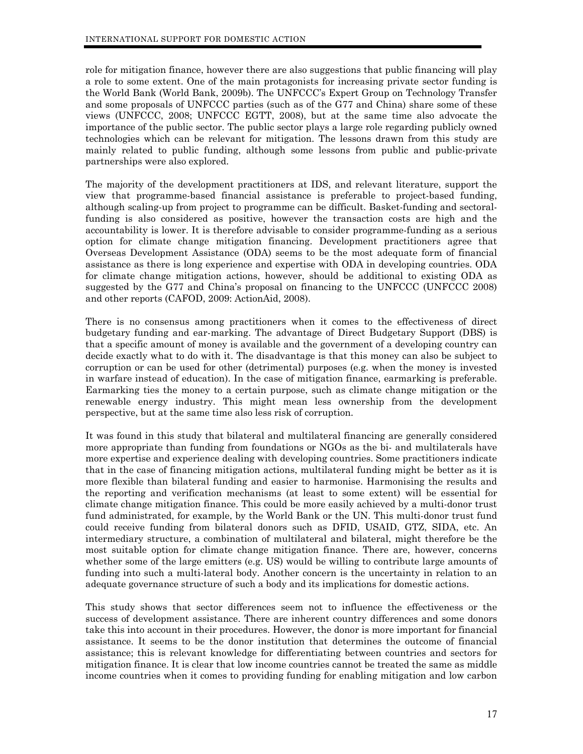role for mitigation finance, however there are also suggestions that public financing will play a role to some extent. One of the main protagonists for increasing private sector funding is the World Bank (World Bank, 2009b). The UNFCCC's Expert Group on Technology Transfer and some proposals of UNFCCC parties (such as of the G77 and China) share some of these views (UNFCCC, 2008; UNFCCC EGTT, 2008), but at the same time also advocate the importance of the public sector. The public sector plays a large role regarding publicly owned technologies which can be relevant for mitigation. The lessons drawn from this study are mainly related to public funding, although some lessons from public and public-private partnerships were also explored.

The majority of the development practitioners at IDS, and relevant literature, support the view that programme-based financial assistance is preferable to project-based funding, although scaling-up from project to programme can be difficult. Basket-funding and sectoralfunding is also considered as positive, however the transaction costs are high and the accountability is lower. It is therefore advisable to consider programme-funding as a serious option for climate change mitigation financing. Development practitioners agree that Overseas Development Assistance (ODA) seems to be the most adequate form of financial assistance as there is long experience and expertise with ODA in developing countries. ODA for climate change mitigation actions, however, should be additional to existing ODA as suggested by the G77 and China's proposal on financing to the UNFCCC (UNFCCC 2008) and other reports (CAFOD, 2009: ActionAid, 2008).

There is no consensus among practitioners when it comes to the effectiveness of direct budgetary funding and ear-marking. The advantage of Direct Budgetary Support (DBS) is that a specific amount of money is available and the government of a developing country can decide exactly what to do with it. The disadvantage is that this money can also be subject to corruption or can be used for other (detrimental) purposes (e.g. when the money is invested in warfare instead of education). In the case of mitigation finance, earmarking is preferable. Earmarking ties the money to a certain purpose, such as climate change mitigation or the renewable energy industry. This might mean less ownership from the development perspective, but at the same time also less risk of corruption.

It was found in this study that bilateral and multilateral financing are generally considered more appropriate than funding from foundations or NGOs as the bi- and multilaterals have more expertise and experience dealing with developing countries. Some practitioners indicate that in the case of financing mitigation actions, multilateral funding might be better as it is more flexible than bilateral funding and easier to harmonise. Harmonising the results and the reporting and verification mechanisms (at least to some extent) will be essential for climate change mitigation finance. This could be more easily achieved by a multi-donor trust fund administrated, for example, by the World Bank or the UN. This multi-donor trust fund could receive funding from bilateral donors such as DFID, USAID, GTZ, SIDA, etc. An intermediary structure, a combination of multilateral and bilateral, might therefore be the most suitable option for climate change mitigation finance. There are, however, concerns whether some of the large emitters (e.g. US) would be willing to contribute large amounts of funding into such a multi-lateral body. Another concern is the uncertainty in relation to an adequate governance structure of such a body and its implications for domestic actions.

This study shows that sector differences seem not to influence the effectiveness or the success of development assistance. There are inherent country differences and some donors take this into account in their procedures. However, the donor is more important for financial assistance. It seems to be the donor institution that determines the outcome of financial assistance; this is relevant knowledge for differentiating between countries and sectors for mitigation finance. It is clear that low income countries cannot be treated the same as middle income countries when it comes to providing funding for enabling mitigation and low carbon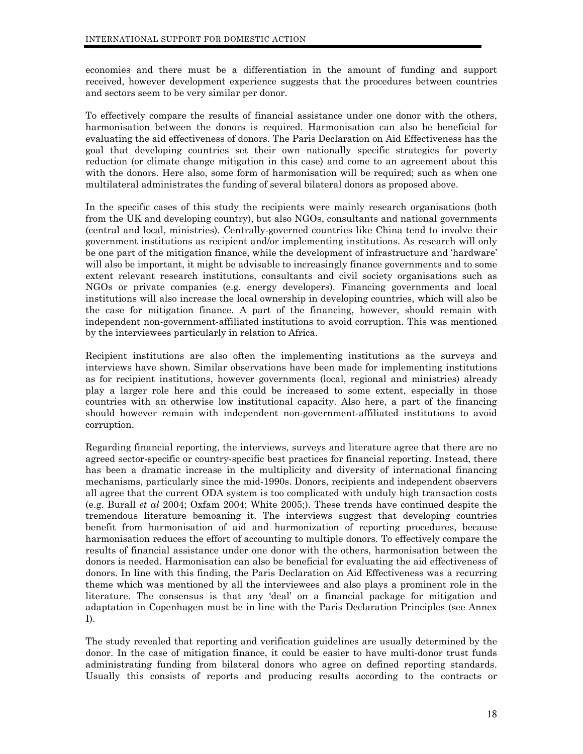economies and there must be a differentiation in the amount of funding and support received, however development experience suggests that the procedures between countries and sectors seem to be very similar per donor.

To effectively compare the results of financial assistance under one donor with the others, harmonisation between the donors is required. Harmonisation can also be beneficial for evaluating the aid effectiveness of donors. The Paris Declaration on Aid Effectiveness has the goal that developing countries set their own nationally specific strategies for poverty reduction (or climate change mitigation in this case) and come to an agreement about this with the donors. Here also, some form of harmonisation will be required; such as when one multilateral administrates the funding of several bilateral donors as proposed above.

In the specific cases of this study the recipients were mainly research organisations (both from the UK and developing country), but also NGOs, consultants and national governments (central and local, ministries). Centrally-governed countries like China tend to involve their government institutions as recipient and/or implementing institutions. As research will only be one part of the mitigation finance, while the development of infrastructure and 'hardware' will also be important, it might be advisable to increasingly finance governments and to some extent relevant research institutions, consultants and civil society organisations such as NGOs or private companies (e.g. energy developers). Financing governments and local institutions will also increase the local ownership in developing countries, which will also be the case for mitigation finance. A part of the financing, however, should remain with independent non-government-affiliated institutions to avoid corruption. This was mentioned by the interviewees particularly in relation to Africa.

Recipient institutions are also often the implementing institutions as the surveys and interviews have shown. Similar observations have been made for implementing institutions as for recipient institutions, however governments (local, regional and ministries) already play a larger role here and this could be increased to some extent, especially in those countries with an otherwise low institutional capacity. Also here, a part of the financing should however remain with independent non-government-affiliated institutions to avoid corruption.

Regarding financial reporting, the interviews, surveys and literature agree that there are no agreed sector-specific or country-specific best practices for financial reporting. Instead, there has been a dramatic increase in the multiplicity and diversity of international financing mechanisms, particularly since the mid-1990s. Donors, recipients and independent observers all agree that the current ODA system is too complicated with unduly high transaction costs (e.g. Burall *et al* 2004; Oxfam 2004; White 2005;). These trends have continued despite the tremendous literature bemoaning it. The interviews suggest that developing countries benefit from harmonisation of aid and harmonization of reporting procedures, because harmonisation reduces the effort of accounting to multiple donors. To effectively compare the results of financial assistance under one donor with the others, harmonisation between the donors is needed. Harmonisation can also be beneficial for evaluating the aid effectiveness of donors. In line with this finding, the Paris Declaration on Aid Effectiveness was a recurring theme which was mentioned by all the interviewees and also plays a prominent role in the literature. The consensus is that any 'deal' on a financial package for mitigation and adaptation in Copenhagen must be in line with the Paris Declaration Principles (see Annex I).

The study revealed that reporting and verification guidelines are usually determined by the donor. In the case of mitigation finance, it could be easier to have multi-donor trust funds administrating funding from bilateral donors who agree on defined reporting standards. Usually this consists of reports and producing results according to the contracts or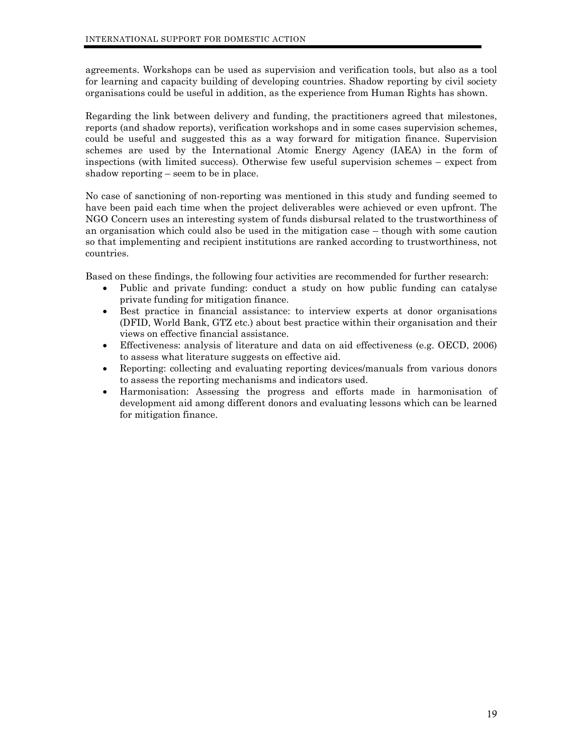agreements. Workshops can be used as supervision and verification tools, but also as a tool for learning and capacity building of developing countries. Shadow reporting by civil society organisations could be useful in addition, as the experience from Human Rights has shown.

Regarding the link between delivery and funding, the practitioners agreed that milestones, reports (and shadow reports), verification workshops and in some cases supervision schemes, could be useful and suggested this as a way forward for mitigation finance. Supervision schemes are used by the International Atomic Energy Agency (IAEA) in the form of inspections (with limited success). Otherwise few useful supervision schemes – expect from shadow reporting – seem to be in place.

No case of sanctioning of non-reporting was mentioned in this study and funding seemed to have been paid each time when the project deliverables were achieved or even upfront. The NGO Concern uses an interesting system of funds disbursal related to the trustworthiness of an organisation which could also be used in the mitigation case – though with some caution so that implementing and recipient institutions are ranked according to trustworthiness, not countries.

Based on these findings, the following four activities are recommended for further research:

- Public and private funding: conduct a study on how public funding can catalyse private funding for mitigation finance.
- Best practice in financial assistance: to interview experts at donor organisations (DFID, World Bank, GTZ etc.) about best practice within their organisation and their views on effective financial assistance.
- Effectiveness: analysis of literature and data on aid effectiveness (e.g. OECD, 2006) to assess what literature suggests on effective aid.
- Reporting: collecting and evaluating reporting devices/manuals from various donors to assess the reporting mechanisms and indicators used.
- Harmonisation: Assessing the progress and efforts made in harmonisation of development aid among different donors and evaluating lessons which can be learned for mitigation finance.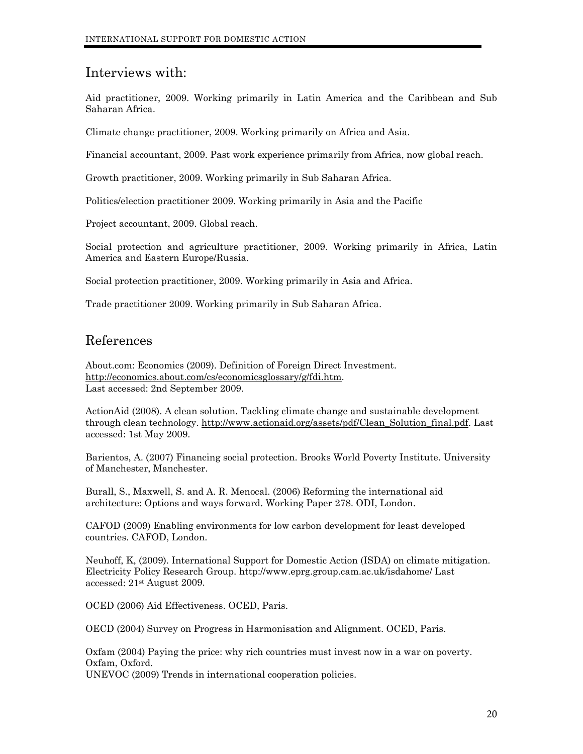# <span id="page-20-0"></span>Interviews with:

Aid practitioner, 2009. Working primarily in Latin America and the Caribbean and Sub Saharan Africa.

Climate change practitioner, 2009. Working primarily on Africa and Asia.

Financial accountant, 2009. Past work experience primarily from Africa, now global reach.

Growth practitioner, 2009. Working primarily in Sub Saharan Africa.

Politics/election practitioner 2009. Working primarily in Asia and the Pacific

Project accountant, 2009. Global reach.

Social protection and agriculture practitioner, 2009. Working primarily in Africa, Latin America and Eastern Europe/Russia.

Social protection practitioner, 2009. Working primarily in Asia and Africa.

Trade practitioner 2009. Working primarily in Sub Saharan Africa.

# References

About.com: Economics (2009). Definition of Foreign Direct Investment. [http://economics.about.com/cs/economicsglossary/g/fdi.htm.](http://economics.about.com/cs/economicsglossary/g/fdi.htm) Last accessed: 2nd September 2009.

ActionAid (2008). A clean solution. Tackling climate change and sustainable development through clean technology. [http://www.actionaid.org/assets/pdf/Clean\\_Solution\\_final.pdf](http://www.actionaid.org/assets/pdf/Clean_Solution_final.pdf). Last accessed: 1st May 2009.

Barientos, A. (2007) Financing social protection. Brooks World Poverty Institute. University of Manchester, Manchester.

Burall, S., Maxwell, S. and A. R. Menocal. (2006) Reforming the international aid architecture: Options and ways forward. Working Paper 278. ODI, London.

CAFOD (2009) Enabling environments for low carbon development for least developed countries. CAFOD, London.

Neuhoff, K, (2009). International Support for Domestic Action (ISDA) on climate mitigation. Electricity Policy Research Group. http://www.eprg.group.cam.ac.uk/isdahome/ Last accessed: 21st August 2009.

OCED (2006) Aid Effectiveness. OCED, Paris.

OECD (2004) Survey on Progress in Harmonisation and Alignment. OCED, Paris.

Oxfam (2004) Paying the price: why rich countries must invest now in a war on poverty. Oxfam, Oxford.

UNEVOC (2009) Trends in international cooperation policies.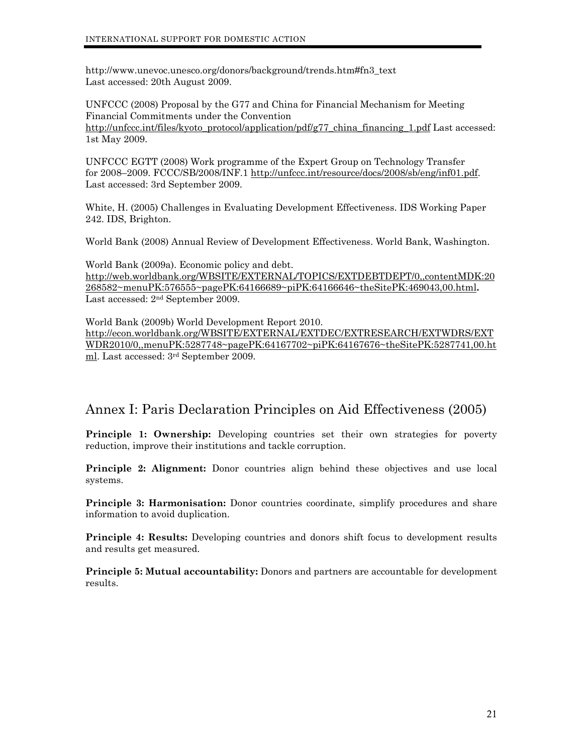<span id="page-21-0"></span>http://www.unevoc.unesco.org/donors/background/trends.htm#fn3\_text Last accessed: 20th August 2009.

UNFCCC (2008) Proposal by the G77 and China for Financial Mechanism for Meeting Financial Commitments under the Convention [http://unfccc.int/files/kyoto\\_protocol/application/pdf/g77\\_china\\_financing\\_1.pdf](http://unfccc.int/files/kyoto_protocol/application/pdf/g77_china_financing_1.pdf) Last accessed: 1st May 2009.

UNFCCC EGTT (2008) Work programme of the Expert Group on Technology Transfer for 2008–2009. FCCC/SB/2008/INF.1 [http://unfccc.int/resource/docs/2008/sb/eng/inf01.pdf.](http://unfccc.int/resource/docs/2008/sb/eng/inf01.pdf) Last accessed: 3rd September 2009.

White, H. (2005) Challenges in Evaluating Development Effectiveness. IDS Working Paper 242. IDS, Brighton.

World Bank (2008) Annual Review of Development Effectiveness. World Bank, Washington.

World Bank (2009a). Economic policy and debt. [http://web.worldbank.org/WBSITE/EXTERNAL/TOPICS/EXTDEBTDEPT/0,,contentMDK:20](http://web.worldbank.org/WBSITE/EXTERNAL/TOPICS/EXTDEBTDEPT/0,,contentMDK:20268582%7EmenuPK:576555%7EpagePK:64166689%7EpiPK:64166646%7EtheSitePK:469043,00.html) [268582~menuPK:576555~pagePK:64166689~piPK:64166646~theSitePK:469043,00.html](http://web.worldbank.org/WBSITE/EXTERNAL/TOPICS/EXTDEBTDEPT/0,,contentMDK:20268582%7EmenuPK:576555%7EpagePK:64166689%7EpiPK:64166646%7EtheSitePK:469043,00.html)**.**  Last accessed: 2nd September 2009.

World Bank (2009b) World Development Report 2010. [http://econ.worldbank.org/WBSITE/EXTERNAL/EXTDEC/EXTRESEARCH/EXTWDRS/EXT](http://econ.worldbank.org/WBSITE/EXTERNAL/EXTDEC/EXTRESEARCH/EXTWDRS/EXTWDR2010/0,,menuPK:5287748%7EpagePK:64167702%7EpiPK:64167676%7EtheSitePK:5287741,00.html) [WDR2010/0,,menuPK:5287748~pagePK:64167702~piPK:64167676~theSitePK:5287741,00.ht](http://econ.worldbank.org/WBSITE/EXTERNAL/EXTDEC/EXTRESEARCH/EXTWDRS/EXTWDR2010/0,,menuPK:5287748%7EpagePK:64167702%7EpiPK:64167676%7EtheSitePK:5287741,00.html) [ml.](http://econ.worldbank.org/WBSITE/EXTERNAL/EXTDEC/EXTRESEARCH/EXTWDRS/EXTWDR2010/0,,menuPK:5287748%7EpagePK:64167702%7EpiPK:64167676%7EtheSitePK:5287741,00.html) Last accessed: 3rd September 2009.

# Annex I: Paris Declaration Principles on Aid Effectiveness (2005)

**Principle 1: Ownership:** Developing countries set their own strategies for poverty reduction, improve their institutions and tackle corruption.

**Principle 2: Alignment:** Donor countries align behind these objectives and use local systems.

**Principle 3: Harmonisation:** Donor countries coordinate, simplify procedures and share information to avoid duplication.

**Principle 4: Results:** Developing countries and donors shift focus to development results and results get measured.

**Principle 5: Mutual accountability:** Donors and partners are accountable for development results.